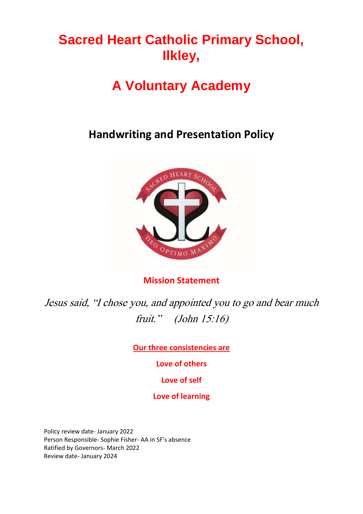# **Sacred Heart Catholic Primary School, Ilkley,**

# **A Voluntary Academy**

## **Handwriting and Presentation Policy**



**Mission Statement**

Jesus said, "I chose you, and appointed you to go and bear much fruit." (John 15:16)

**Our three consistencies are**

**Love of others**

**Love of self**

### **Love of learning**

Policy review date- January 2022 Person Responsible- Sophie Fisher- AA in SF's absence Ratified by Governors- March 2022 Review date- January 2024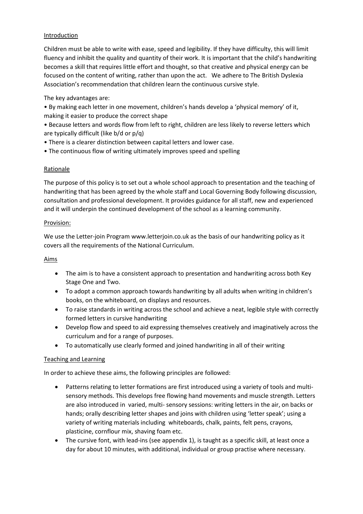#### **Introduction**

Children must be able to write with ease, speed and legibility. If they have difficulty, this will limit fluency and inhibit the quality and quantity of their work. It is important that the child's handwriting becomes a skill that requires little effort and thought, so that creative and physical energy can be focused on the content of writing, rather than upon the act. We adhere to The British Dyslexia Association's recommendation that children learn the continuous cursive style.

#### The key advantages are:

• By making each letter in one movement, children's hands develop a 'physical memory' of it, making it easier to produce the correct shape

• Because letters and words flow from left to right, children are less likely to reverse letters which are typically difficult (like b/d or p/q)

- There is a clearer distinction between capital letters and lower case.
- The continuous flow of writing ultimately improves speed and spelling

#### Rationale

The purpose of this policy is to set out a whole school approach to presentation and the teaching of handwriting that has been agreed by the whole staff and Local Governing Body following discussion, consultation and professional development. It provides guidance for all staff, new and experienced and it will underpin the continued development of the school as a learning community.

#### Provision:

We use the Letter-join Program www.letterjoin.co.uk as the basis of our handwriting policy as it covers all the requirements of the National Curriculum.

#### Aims

- The aim is to have a consistent approach to presentation and handwriting across both Key Stage One and Two.
- To adopt a common approach towards handwriting by all adults when writing in children's books, on the whiteboard, on displays and resources.
- To raise standards in writing across the school and achieve a neat, legible style with correctly formed letters in cursive handwriting
- Develop flow and speed to aid expressing themselves creatively and imaginatively across the curriculum and for a range of purposes.
- To automatically use clearly formed and joined handwriting in all of their writing

#### Teaching and Learning

In order to achieve these aims, the following principles are followed:

- Patterns relating to letter formations are first introduced using a variety of tools and multisensory methods. This develops free flowing hand movements and muscle strength. Letters are also introduced in varied, multi- sensory sessions: writing letters in the air, on backs or hands; orally describing letter shapes and joins with children using 'letter speak'; using a variety of writing materials including whiteboards, chalk, paints, felt pens, crayons, plasticine, cornflour mix, shaving foam etc.
- The cursive font, with lead-ins (see appendix 1), is taught as a specific skill, at least once a day for about 10 minutes, with additional, individual or group practise where necessary.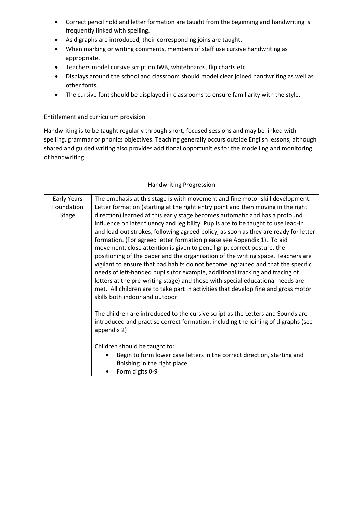- Correct pencil hold and letter formation are taught from the beginning and handwriting is frequently linked with spelling.
- As digraphs are introduced, their corresponding joins are taught.
- When marking or writing comments, members of staff use cursive handwriting as appropriate.
- Teachers model cursive script on IWB, whiteboards, flip charts etc.
- Displays around the school and classroom should model clear joined handwriting as well as other fonts.
- The cursive font should be displayed in classrooms to ensure familiarity with the style.

#### Entitlement and curriculum provision

Handwriting is to be taught regularly through short, focused sessions and may be linked with spelling, grammar or phonics objectives. Teaching generally occurs outside English lessons, although shared and guided writing also provides additional opportunities for the modelling and monitoring of handwriting.

#### Handwriting Progression

| Early Years<br>Foundation<br><b>Stage</b> | The emphasis at this stage is with movement and fine motor skill development.<br>Letter formation (starting at the right entry point and then moving in the right<br>direction) learned at this early stage becomes automatic and has a profound<br>influence on later fluency and legibility. Pupils are to be taught to use lead-in<br>and lead-out strokes, following agreed policy, as soon as they are ready for letter<br>formation. (For agreed letter formation please see Appendix 1). To aid<br>movement, close attention is given to pencil grip, correct posture, the<br>positioning of the paper and the organisation of the writing space. Teachers are<br>vigilant to ensure that bad habits do not become ingrained and that the specific<br>needs of left-handed pupils (for example, additional tracking and tracing of<br>letters at the pre-writing stage) and those with special educational needs are<br>met. All children are to take part in activities that develop fine and gross motor<br>skills both indoor and outdoor. |
|-------------------------------------------|------------------------------------------------------------------------------------------------------------------------------------------------------------------------------------------------------------------------------------------------------------------------------------------------------------------------------------------------------------------------------------------------------------------------------------------------------------------------------------------------------------------------------------------------------------------------------------------------------------------------------------------------------------------------------------------------------------------------------------------------------------------------------------------------------------------------------------------------------------------------------------------------------------------------------------------------------------------------------------------------------------------------------------------------------|
|                                           | The children are introduced to the cursive script as the Letters and Sounds are<br>introduced and practise correct formation, including the joining of digraphs (see<br>appendix 2)                                                                                                                                                                                                                                                                                                                                                                                                                                                                                                                                                                                                                                                                                                                                                                                                                                                                  |
|                                           | Children should be taught to:<br>Begin to form lower case letters in the correct direction, starting and<br>finishing in the right place.<br>Form digits 0-9                                                                                                                                                                                                                                                                                                                                                                                                                                                                                                                                                                                                                                                                                                                                                                                                                                                                                         |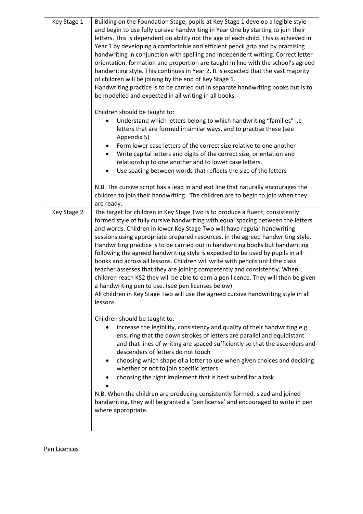| Key Stage 1 | Building on the Foundation Stage, pupils at Key Stage 1 develop a legible style<br>and begin to use fully cursive handwriting in Year One by starting to join their<br>letters. This is dependent on ability not the age of each child. This is achieved in<br>Year 1 by developing a comfortable and efficient pencil grip and by practising<br>handwriting in conjunction with spelling and independent writing. Correct letter<br>orientation, formation and proportion are taught in line with the school's agreed<br>handwriting style. This continues in Year 2. It is expected that the vast majority<br>of children will be joining by the end of Key Stage 1.<br>Handwriting practice is to be carried out in separate handwriting books but is to<br>be modelled and expected in all writing in all books.                                                                                                                                |
|-------------|-----------------------------------------------------------------------------------------------------------------------------------------------------------------------------------------------------------------------------------------------------------------------------------------------------------------------------------------------------------------------------------------------------------------------------------------------------------------------------------------------------------------------------------------------------------------------------------------------------------------------------------------------------------------------------------------------------------------------------------------------------------------------------------------------------------------------------------------------------------------------------------------------------------------------------------------------------|
|             | Children should be taught to:<br>Understand which letters belong to which handwriting "families" i.e<br>letters that are formed in similar ways, and to practise these (see<br>Appendix 5)<br>Form lower case letters of the correct size relative to one another<br>٠<br>Write capital letters and digits of the correct size, orientation and<br>relationship to one another and to lower case letters.<br>Use spacing between words that reflects the size of the letters                                                                                                                                                                                                                                                                                                                                                                                                                                                                        |
|             | N.B. The cursive script has a lead in and exit line that naturally encourages the<br>children to join their handwriting. The children are to begin to join when they<br>are ready.                                                                                                                                                                                                                                                                                                                                                                                                                                                                                                                                                                                                                                                                                                                                                                  |
| Key Stage 2 | The target for children in Key Stage Two is to produce a fluent, consistently<br>formed style of fully cursive handwriting with equal spacing between the letters<br>and words. Children in lower Key Stage Two will have regular handwriting<br>sessions using appropriate prepared resources, in the agreed handwriting style.<br>Handwriting practice is to be carried out in handwriting books but handwriting<br>following the agreed handwriting style is expected to be used by pupils in all<br>books and across all lessons. Children will write with pencils until the class<br>teacher assesses that they are joining competently and consistently. When<br>children reach KS2 they will be able to earn a pen licence. They will then be given<br>a handwriting pen to use. (see pen licenses below)<br>All children in Key Stage Two will use the agreed cursive handwriting style in all<br>lessons.<br>Children should be taught to: |
|             | increase the legibility, consistency and quality of their handwriting e.g.<br>ensuring that the down strokes of letters are parallel and equidistant<br>and that lines of writing are spaced sufficiently so that the ascenders and<br>descenders of letters do not touch<br>choosing which shape of a letter to use when given choices and deciding<br>٠<br>whether or not to join specific letters<br>choosing the right implement that is best suited for a task                                                                                                                                                                                                                                                                                                                                                                                                                                                                                 |
|             | N.B. When the children are producing consistently formed, sized and joined<br>handwriting, they will be granted a 'pen license' and encouraged to write in pen<br>where appropriate.                                                                                                                                                                                                                                                                                                                                                                                                                                                                                                                                                                                                                                                                                                                                                                |

#### Pen Licences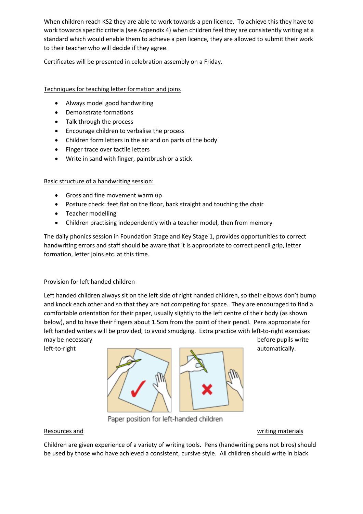When children reach KS2 they are able to work towards a pen licence. To achieve this they have to work towards specific criteria (see Appendix 4) when children feel they are consistently writing at a standard which would enable them to achieve a pen licence, they are allowed to submit their work to their teacher who will decide if they agree.

Certificates will be presented in celebration assembly on a Friday.

#### Techniques for teaching letter formation and joins

- Always model good handwriting
- Demonstrate formations
- Talk through the process
- Encourage children to verbalise the process
- Children form letters in the air and on parts of the body
- Finger trace over tactile letters
- Write in sand with finger, paintbrush or a stick

#### Basic structure of a handwriting session:

- Gross and fine movement warm up
- Posture check: feet flat on the floor, back straight and touching the chair
- Teacher modelling
- Children practising independently with a teacher model, then from memory

The daily phonics session in Foundation Stage and Key Stage 1, provides opportunities to correct handwriting errors and staff should be aware that it is appropriate to correct pencil grip, letter formation, letter joins etc. at this time.

#### Provision for left handed children

Left handed children always sit on the left side of right handed children, so their elbows don't bump and knock each other and so that they are not competing for space. They are encouraged to find a comfortable orientation for their paper, usually slightly to the left centre of their body (as shown below), and to have their fingers about 1.5cm from the point of their pencil. Pens appropriate for left handed writers will be provided, to avoid smudging. Extra practice with left-to-right exercises may be necessary before pupils write



Paper position for left-handed children

Resources and the contract of the contract of the contract of the contract of the contract of the contract of the contract of the contract of the contract of the contract of the contract of the contract of the contract of

Children are given experience of a variety of writing tools. Pens (handwriting pens not biros) should be used by those who have achieved a consistent, cursive style. All children should write in black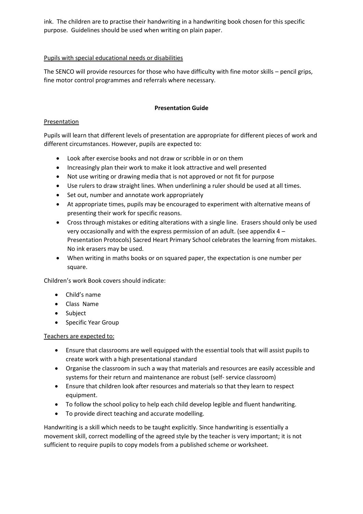ink. The children are to practise their handwriting in a handwriting book chosen for this specific purpose. Guidelines should be used when writing on plain paper.

#### Pupils with special educational needs or disabilities

The SENCO will provide resources for those who have difficulty with fine motor skills – pencil grips, fine motor control programmes and referrals where necessary.

#### **Presentation Guide**

#### **Presentation**

Pupils will learn that different levels of presentation are appropriate for different pieces of work and different circumstances. However, pupils are expected to:

- Look after exercise books and not draw or scribble in or on them
- Increasingly plan their work to make it look attractive and well presented
- Not use writing or drawing media that is not approved or not fit for purpose
- Use rulers to draw straight lines. When underlining a ruler should be used at all times.
- Set out, number and annotate work appropriately
- At appropriate times, pupils may be encouraged to experiment with alternative means of presenting their work for specific reasons.
- Cross through mistakes or editing alterations with a single line. Erasers should only be used very occasionally and with the express permission of an adult. (see appendix 4 – Presentation Protocols) Sacred Heart Primary School celebrates the learning from mistakes. No ink erasers may be used.
- When writing in maths books or on squared paper, the expectation is one number per square.

Children's work Book covers should indicate:

- Child's name
- Class Name
- Subject
- Specific Year Group

#### Teachers are expected to:

- Ensure that classrooms are well equipped with the essential tools that will assist pupils to create work with a high presentational standard
- Organise the classroom in such a way that materials and resources are easily accessible and systems for their return and maintenance are robust (self- service classroom)
- Ensure that children look after resources and materials so that they learn to respect equipment.
- To follow the school policy to help each child develop legible and fluent handwriting.
- To provide direct teaching and accurate modelling.

Handwriting is a skill which needs to be taught explicitly. Since handwriting is essentially a movement skill, correct modelling of the agreed style by the teacher is very important; it is not sufficient to require pupils to copy models from a published scheme or worksheet.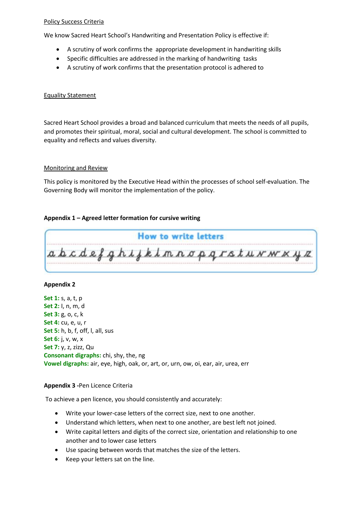#### Policy Success Criteria

We know Sacred Heart School's Handwriting and Presentation Policy is effective if:

- A scrutiny of work confirms the appropriate development in handwriting skills
- Specific difficulties are addressed in the marking of handwriting tasks
- A scrutiny of work confirms that the presentation protocol is adhered to

#### Equality Statement

Sacred Heart School provides a broad and balanced curriculum that meets the needs of all pupils, and promotes their spiritual, moral, social and cultural development. The school is committed to equality and reflects and values diversity.

#### Monitoring and Review

This policy is monitored by the Executive Head within the processes of school self-evaluation. The Governing Body will monitor the implementation of the policy.

#### **Appendix 1 – Agreed letter formation for cursive writing**

**How to write letters** abcdefghijkimnopgrstuwwxyz

#### **Appendix 2**

**Set 1:** s, a, t, p **Set 2:** I, n, m, d **Set 3:** g, o, c, k **Set 4:** cu, e, u, r **Set 5:** h, b, f, off, l, all, sus **Set 6:** j, v, w, x **Set 7:** y, z, zizz, Qu **Consonant digraphs:** chi, shy, the, ng **Vowel digraphs:** air, eye, high, oak, or, art, or, urn, ow, oi, ear, air, urea, err

#### **Appendix 3 -**Pen Licence Criteria

To achieve a pen licence, you should consistently and accurately:

- Write your lower-case letters of the correct size, next to one another.
- Understand which letters, when next to one another, are best left not joined.
- Write capital letters and digits of the correct size, orientation and relationship to one another and to lower case letters
- Use spacing between words that matches the size of the letters.
- Keep your letters sat on the line.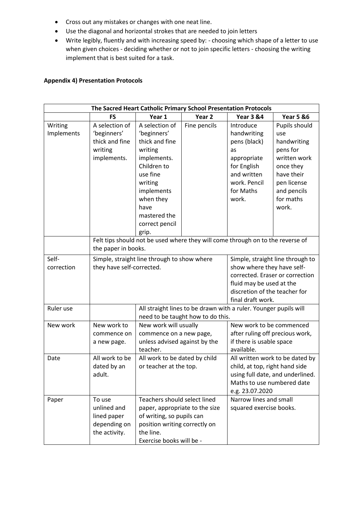- Cross out any mistakes or changes with one neat line.
- Use the diagonal and horizontal strokes that are needed to join letters
- Write legibly, fluently and with increasing speed by: choosing which shape of a letter to use when given choices - deciding whether or not to join specific letters - choosing the writing implement that is best suited for a task.

#### **Appendix 4) Presentation Protocols**

| The Sacred Heart Catholic Primary School Presentation Protocols |                                                                                |                                                         |                                   |                                                                  |                                  |  |  |
|-----------------------------------------------------------------|--------------------------------------------------------------------------------|---------------------------------------------------------|-----------------------------------|------------------------------------------------------------------|----------------------------------|--|--|
|                                                                 | <b>FS</b>                                                                      | Year 1                                                  | Year <sub>2</sub>                 | <b>Year 3 &amp;4</b>                                             | <b>Year 5 &amp;6</b>             |  |  |
| Writing                                                         | A selection of                                                                 | A selection of                                          | Fine pencils                      | Introduce                                                        | Pupils should                    |  |  |
| Implements                                                      | 'beginners'                                                                    | 'beginners'                                             |                                   | handwriting                                                      | use                              |  |  |
|                                                                 | thick and fine                                                                 | thick and fine                                          |                                   | pens (black)                                                     | handwriting                      |  |  |
|                                                                 | writing                                                                        | writing                                                 |                                   | as                                                               | pens for                         |  |  |
|                                                                 | implements.                                                                    | implements.                                             |                                   | appropriate                                                      | written work                     |  |  |
|                                                                 |                                                                                | Children to                                             |                                   | for English                                                      | once they                        |  |  |
|                                                                 |                                                                                | use fine                                                |                                   | and written                                                      | have their                       |  |  |
|                                                                 |                                                                                | writing                                                 |                                   | work. Pencil                                                     | pen license                      |  |  |
|                                                                 |                                                                                | implements                                              |                                   | for Maths                                                        | and pencils                      |  |  |
|                                                                 |                                                                                | when they                                               |                                   | work.                                                            | for maths                        |  |  |
|                                                                 |                                                                                | have                                                    |                                   |                                                                  | work.                            |  |  |
|                                                                 |                                                                                | mastered the                                            |                                   |                                                                  |                                  |  |  |
|                                                                 |                                                                                | correct pencil                                          |                                   |                                                                  |                                  |  |  |
|                                                                 |                                                                                | grip.                                                   |                                   |                                                                  |                                  |  |  |
|                                                                 | Felt tips should not be used where they will come through on to the reverse of |                                                         |                                   |                                                                  |                                  |  |  |
|                                                                 | the paper in books.                                                            |                                                         |                                   |                                                                  |                                  |  |  |
| Self-                                                           |                                                                                | Simple, straight line through to show where             |                                   |                                                                  | Simple, straight line through to |  |  |
| correction                                                      | they have self-corrected.                                                      |                                                         |                                   | show where they have self-                                       |                                  |  |  |
|                                                                 |                                                                                |                                                         |                                   | corrected. Eraser or correction                                  |                                  |  |  |
|                                                                 |                                                                                |                                                         |                                   | fluid may be used at the                                         |                                  |  |  |
|                                                                 |                                                                                |                                                         |                                   | discretion of the teacher for                                    |                                  |  |  |
|                                                                 |                                                                                |                                                         |                                   | final draft work.                                                |                                  |  |  |
| Ruler use                                                       |                                                                                |                                                         |                                   | All straight lines to be drawn with a ruler. Younger pupils will |                                  |  |  |
|                                                                 |                                                                                |                                                         | need to be taught how to do this. |                                                                  |                                  |  |  |
| New work                                                        | New work to                                                                    | New work will usually                                   |                                   | New work to be commenced                                         |                                  |  |  |
|                                                                 | commence on                                                                    | commence on a new page,                                 |                                   | after ruling off precious work,                                  |                                  |  |  |
|                                                                 | a new page.                                                                    | unless advised against by the<br>teacher.               |                                   | if there is usable space                                         |                                  |  |  |
|                                                                 |                                                                                |                                                         |                                   | available.                                                       |                                  |  |  |
| Date                                                            | All work to be                                                                 | All work to be dated by child<br>or teacher at the top. |                                   |                                                                  | All written work to be dated by  |  |  |
|                                                                 | dated by an                                                                    |                                                         |                                   | child, at top, right hand side                                   |                                  |  |  |
|                                                                 | adult.                                                                         |                                                         |                                   |                                                                  | using full date, and underlined. |  |  |
|                                                                 |                                                                                |                                                         |                                   | Maths to use numbered date                                       |                                  |  |  |
|                                                                 |                                                                                |                                                         |                                   | e.g. 23.07.2020                                                  |                                  |  |  |
| Paper                                                           | To use                                                                         | Teachers should select lined                            |                                   | Narrow lines and small                                           |                                  |  |  |
|                                                                 | unlined and                                                                    | paper, appropriate to the size                          |                                   | squared exercise books.                                          |                                  |  |  |
|                                                                 | lined paper                                                                    | of writing, so pupils can                               |                                   |                                                                  |                                  |  |  |
|                                                                 | depending on                                                                   | position writing correctly on                           |                                   |                                                                  |                                  |  |  |
|                                                                 | the activity.                                                                  | the line.                                               |                                   |                                                                  |                                  |  |  |
|                                                                 |                                                                                | Exercise books will be -                                |                                   |                                                                  |                                  |  |  |